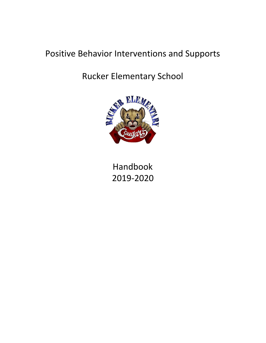# Positive Behavior Interventions and Supports

# Rucker Elementary School



Handbook 2019-2020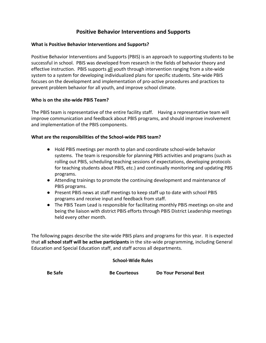### **Positive Behavior Interventions and Supports**

### **What is Positive Behavior Interventions and Supports?**

Positive Behavior Interventions and Supports (PBIS) is an approach to supporting students to be successful in school. PBIS was developed from research in the fields of behavior theory and effective instruction. PBIS supports all youth through intervention ranging from a site-wide system to a system for developing individualized plans for specific students. Site-wide PBIS focuses on the development and implementation of pro-active procedures and practices to prevent problem behavior for all youth, and improve school climate.

### **Who is on the site-wide PBIS Team?**

The PBIS team is representative of the entire facility staff. Having a representative team will improve communication and feedback about PBIS programs, and should improve involvement and implementation of the PBIS components.

#### **What are the responsibilities of the School-wide PBIS team?**

- Hold PBIS meetings per month to plan and coordinate school-wide behavior systems. The team is responsible for planning PBIS activities and programs (such as rolling out PBIS, scheduling teaching sessions of expectations, developing protocols for teaching students about PBIS, etc.) and continually monitoring and updating PBS programs.
- Attending trainings to promote the continuing development and maintenance of PBIS programs.
- Present PBIS news at staff meetings to keep staff up to date with school PBIS programs and receive input and feedback from staff.
- The PBIS Team Lead is responsible for facilitating monthly PBIS meetings on-site and being the liaison with district PBIS efforts through PBIS District Leadership meetings held every other month.

The following pages describe the site-wide PBIS plans and programs for this year. It is expected that **all school staff will be active participants** in the site-wide programming, including General Education and Special Education staff, and staff across all departments.

#### **School-Wide Rules**

**Be Safe Be Courteous Do Your Personal Best**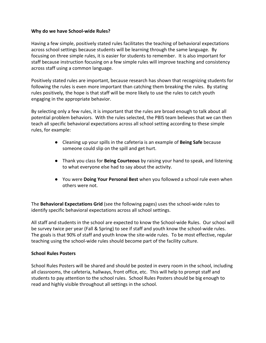### **Why do we have School-wide Rules?**

Having a few simple, positively stated rules facilitates the teaching of behavioral expectations across school settings because students will be learning through the same language. By focusing on three simple rules, it is easier for students to remember. It is also important for staff because instruction focusing on a few simple rules will improve teaching and consistency across staff using a common language.

Positively stated rules are important, because research has shown that recognizing students for following the rules is even more important than catching them breaking the rules. By stating rules positively, the hope is that staff will be more likely to use the rules to catch youth engaging in the appropriate behavior.

By selecting only a few rules, it is important that the rules are broad enough to talk about all potential problem behaviors. With the rules selected, the PBIS team believes that we can then teach all specific behavioral expectations across all school setting according to these simple rules, for example:

- Cleaning up your spills in the cafeteria is an example of **Being Safe** because someone could slip on the spill and get hurt.
- Thank you class for **Being Courteous** by raising your hand to speak, and listening to what everyone else had to say about the activity.
- You were **Doing Your Personal Best** when you followed a school rule even when others were not.

The **Behavioral Expectations Grid** (see the following pages) uses the school-wide rules to identify specific behavioral expectations across all school settings.

All staff and students in the school are expected to know the School-wide Rules. Our school will be survey twice per year (Fall & Spring) to see if staff and youth know the school-wide rules. The goals is that 90% of staff and youth know the site-wide rules. To be most effective, regular teaching using the school-wide rules should become part of the facility culture.

#### **School Rules Posters**

School Rules Posters will be shared and should be posted in every room in the school, including all classrooms, the cafeteria, hallways, front office, etc. This will help to prompt staff and students to pay attention to the school rules. School Rules Posters should be big enough to read and highly visible throughout all settings in the school.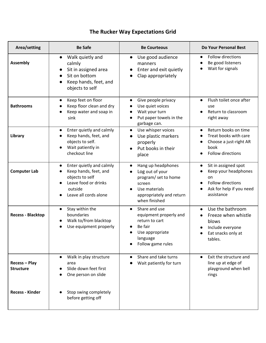# **The Rucker Way Expectations Grid**

| Area/setting                             | <b>Be Safe</b>                                                                                                                                | <b>Be Courteous</b>                                                                                                                                | Do Your Personal Best                                                                                                                       |
|------------------------------------------|-----------------------------------------------------------------------------------------------------------------------------------------------|----------------------------------------------------------------------------------------------------------------------------------------------------|---------------------------------------------------------------------------------------------------------------------------------------------|
| <b>Assembly</b>                          | Walk quietly and<br>calmly<br>Sit in assigned area<br>$\bullet$<br>Sit on bottom<br>Keep hands, feet, and<br>$\bullet$<br>objects to self     | Use good audience<br>$\bullet$<br>manners<br>Enter and exit quietly<br>$\bullet$<br>Clap appropriately                                             | Follow directions<br>$\bullet$<br>Be good listeners<br>Wait for signals                                                                     |
| <b>Bathrooms</b>                         | Keep feet on floor<br>$\bullet$<br>Keep floor clean and dry<br>Keep water and soap in<br>sink                                                 | Give people privacy<br>$\bullet$<br>Use quiet voices<br>Wait your turn<br>Put paper towels in the<br>garbage can.                                  | Flush toilet once after<br>$\bullet$<br>use<br>Return to classroom<br>right away                                                            |
| Library                                  | Enter quietly and calmly<br>$\bullet$<br>Keep hands, feet, and<br>objects to self.<br>Wait patiently in<br>checkout line                      | Use whisper voices<br>$\bullet$<br>Use plastic markers<br>properly<br>Put books in their<br>$\bullet$<br>place                                     | Return books on time<br>$\bullet$<br>Treat books with care<br>$\bullet$<br>Choose a just-right AR<br>$\bullet$<br>book<br>Follow directions |
| <b>Computer Lab</b>                      | Enter quietly and calmly<br>$\bullet$<br>Keep hands, feet, and<br>objects to self<br>Leave food or drinks<br>outside<br>Leave all cords alone | Hang up headphones<br>$\bullet$<br>Log out of your<br>program/ set to home<br>screen<br>Use materials<br>appropriately and return<br>when finished | Sit in assigned spot<br>$\bullet$<br>Keep your headphones<br>on<br>Follow directions<br>$\bullet$<br>Ask for help if you need<br>assistance |
| <b>Recess - Blacktop</b>                 | Stay within the<br>$\bullet$<br>boundaries<br>Walk to/from blacktop<br>Use equipment properly                                                 | Share and use<br>$\bullet$<br>equipment properly and<br>return to cart<br>Be fair<br>Use appropriate<br>language<br>Follow game rules              | Use the bathroom<br>$\bullet$<br>Freeze when whistle<br>blows<br>Include everyone<br>Eat snacks only at<br>tables.                          |
| <b>Recess - Play</b><br><b>Structure</b> | Walk in play structure<br>area<br>Slide down feet first<br>One person on slide                                                                | Share and take turns<br>Wait patiently for turn                                                                                                    | Exit the structure and<br>$\bullet$<br>line up at edge of<br>playground when bell<br>rings                                                  |
| <b>Recess - Kinder</b>                   | Stop swing completely<br>before getting off                                                                                                   |                                                                                                                                                    |                                                                                                                                             |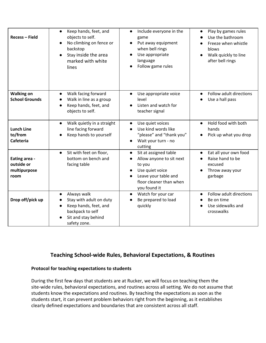| <b>Recess - Field</b>                               | Keep hands, feet, and<br>$\bullet$<br>objects to self.<br>No climbing on fence or<br>backstop<br>Stay inside the area<br>$\bullet$<br>marked with white<br>lines | Include everyone in the<br>$\bullet$<br>game<br>Put away equipment<br>$\bullet$<br>when bell rings<br>Use appropriate<br>$\bullet$<br>language<br>Follow game rules                      | Play by games rules<br>$\bullet$<br>Use the bathroom<br>Freeze when whistle<br>blows<br>Walk quickly to line<br>$\bullet$<br>after bell rings |
|-----------------------------------------------------|------------------------------------------------------------------------------------------------------------------------------------------------------------------|------------------------------------------------------------------------------------------------------------------------------------------------------------------------------------------|-----------------------------------------------------------------------------------------------------------------------------------------------|
| <b>Walking on</b><br><b>School Grounds</b>          | Walk facing forward<br>$\bullet$<br>Walk in line as a group<br>Keep hands, feet, and<br>objects to self.                                                         | Use appropriate voice<br>$\bullet$<br>level<br>Listen and watch for<br>teacher signal                                                                                                    | Follow adult directions<br>$\bullet$<br>Use a hall pass                                                                                       |
| <b>Lunch Line</b><br>to/from<br><b>Cafeteria</b>    | Walk quietly in a straight<br>$\bullet$<br>line facing forward<br>Keep hands to yourself                                                                         | Use quiet voices<br>$\bullet$<br>Use kind words like<br>$\bullet$<br>"please" and "thank you"<br>Wait your turn - no<br>$\bullet$<br>cutting                                             | Hold food with both<br>$\bullet$<br>hands<br>Pick up what you drop<br>$\bullet$                                                               |
| Eating area -<br>outside or<br>multipurpose<br>room | Sit with feet on floor,<br>$\bullet$<br>bottom on bench and<br>facing table                                                                                      | Sit at assigned table<br>$\bullet$<br>Allow anyone to sit next<br>$\bullet$<br>to you<br>Use quiet voice<br>$\bullet$<br>Leave your table and<br>floor cleaner than when<br>you found it | Eat all your own food<br>$\bullet$<br>Raise hand to be<br>$\bullet$<br>excused<br>Throw away your<br>garbage                                  |
| Drop off/pick up                                    | Always walk<br>$\bullet$<br>Stay with adult on duty<br>Keep hands, feet, and<br>backpack to self<br>Sit and stay behind<br>safety zone.                          | Watch for your car<br>$\bullet$<br>Be prepared to load<br>$\bullet$<br>quickly                                                                                                           | Follow adult directions<br>$\bullet$<br>Be on time<br>Use sidewalks and<br>crosswalks                                                         |

### **Teaching School-wide Rules, Behavioral Expectations, & Routines**

#### **Protocol for teaching expectations to students**

During the first few days that students are at Rucker, we will focus on teaching them the site-wide rules, behavioral expectations, and routines across all setting. We do not assume that students know the expectations and routines. By teaching the expectations as soon as the students start, it can prevent problem behaviors right from the beginning, as it establishes clearly defined expectations and boundaries that are consistent across all staff.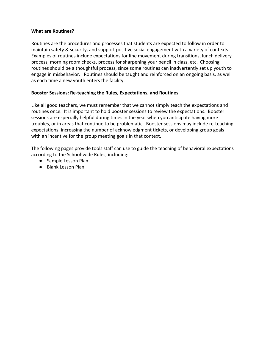#### **What are Routines?**

Routines are the procedures and processes that students are expected to follow in order to maintain safety & security, and support positive social engagement with a variety of contexts. Examples of routines include expectations for line movement during transitions, lunch delivery process, morning room checks, process for sharpening your pencil in class, etc. Choosing routines should be a thoughtful process, since some routines can inadvertently set up youth to engage in misbehavior. Routines should be taught and reinforced on an ongoing basis, as well as each time a new youth enters the facility.

### **Booster Sessions: Re-teaching the Rules, Expectations, and Routines.**

Like all good teachers, we must remember that we cannot simply teach the expectations and routines once. It is important to hold booster sessions to review the expectations. Booster sessions are especially helpful during times in the year when you anticipate having more troubles, or in areas that continue to be problematic. Booster sessions may include re-teaching expectations, increasing the number of acknowledgment tickets, or developing group goals with an incentive for the group meeting goals in that context.

The following pages provide tools staff can use to guide the teaching of behavioral expectations according to the School-wide Rules, including:

- Sample Lesson Plan
- Blank Lesson Plan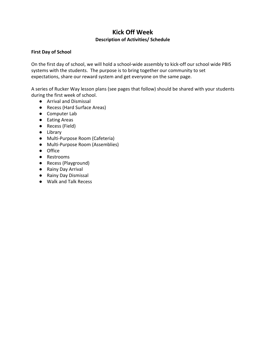### **Kick Off Week Description of Activities/ Schedule**

### **First Day of School**

On the first day of school, we will hold a school-wide assembly to kick-off our school wide PBIS systems with the students. The purpose is to bring together our community to set expectations, share our reward system and get everyone on the same page.

A series of Rucker Way lesson plans (see pages that follow) should be shared with your students during the first week of school.

- Arrival and Dismissal
- Recess (Hard Surface Areas)
- Computer Lab
- Eating Areas
- Recess (Field)
- Library
- Multi-Purpose Room (Cafeteria)
- Multi-Purpose Room (Assemblies)
- Office
- Restrooms
- Recess (Playground)
- Rainy Day Arrival
- Rainy Day Dismissal
- Walk and Talk Recess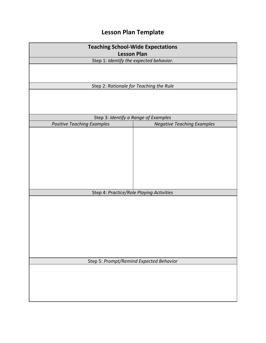# **Lesson Plan Template**

| <b>Teaching School-Wide Expectations</b>                      |                                         |  |
|---------------------------------------------------------------|-----------------------------------------|--|
| <b>Lesson Plan</b><br>Step 1: Identify the expected behavior. |                                         |  |
|                                                               |                                         |  |
|                                                               |                                         |  |
|                                                               | Step 2: Rationale for Teaching the Rule |  |
|                                                               |                                         |  |
|                                                               |                                         |  |
|                                                               |                                         |  |
| Step 3: Identify a Range of Examples                          |                                         |  |
| <b>Positive Teaching Examples</b>                             | <b>Negative Teaching Examples</b>       |  |
|                                                               |                                         |  |
|                                                               |                                         |  |
|                                                               |                                         |  |
|                                                               |                                         |  |
|                                                               |                                         |  |
|                                                               |                                         |  |
|                                                               |                                         |  |
|                                                               |                                         |  |
| Step 4: Practice/Role Playing Activities                      |                                         |  |
|                                                               |                                         |  |
|                                                               |                                         |  |
|                                                               |                                         |  |
|                                                               |                                         |  |
|                                                               |                                         |  |
|                                                               |                                         |  |
|                                                               |                                         |  |
|                                                               |                                         |  |
|                                                               |                                         |  |
| Step 5: Prompt/Remind Expected Behavior                       |                                         |  |
|                                                               |                                         |  |
|                                                               |                                         |  |
|                                                               |                                         |  |
|                                                               |                                         |  |
|                                                               |                                         |  |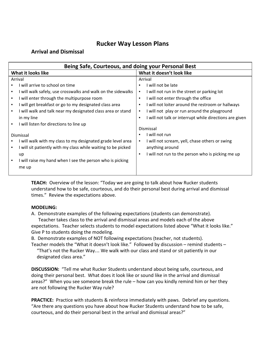### **Rucker Way Lesson Plans**

### **Arrival and Dismissal**

| Being Safe, Courteous, and doing your Personal Best                |                                                              |  |  |
|--------------------------------------------------------------------|--------------------------------------------------------------|--|--|
| What it looks like                                                 | What it doesn't look like                                    |  |  |
| Arrival                                                            | Arrival                                                      |  |  |
| will arrive to school on time                                      | will not be late<br>٠                                        |  |  |
| I will walk safely, use crosswalks and walk on the sidewalks<br>٠  | I will not run in the street or parking lot                  |  |  |
| I will enter through the multipurpose room<br>٠                    | I will not enter through the office<br>$\blacksquare$        |  |  |
| I will get breakfast or go to my designated class area<br>٠        | I will not loiter around the restroom or hallways<br>٠       |  |  |
| I will walk and talk near my designated class area or stand<br>٠   | I will not play or run around the playground<br>٠            |  |  |
| in my line                                                         | I will not talk or interrupt while directions are given<br>٠ |  |  |
| I will listen for directions to line up<br>٠                       |                                                              |  |  |
|                                                                    | Dismissal                                                    |  |  |
| Dismissal                                                          | I will not run                                               |  |  |
| will walk with my class to my designated grade level area          | I will not scream, yell, chase others or swing<br>٠          |  |  |
| I will sit patiently with my class while waiting to be picked<br>п | anything around                                              |  |  |
| up                                                                 | I will not run to the person who is picking me up<br>٠       |  |  |
| I will raise my hand when I see the person who is picking<br>٠     |                                                              |  |  |
| me up                                                              |                                                              |  |  |
|                                                                    |                                                              |  |  |

**TEACH:** Overview of the lesson: "Today we are going to talk about how Rucker students understand how to be safe, courteous, and do their personal best during arrival and dismissal times." Review the expectations above.

### **MODELING:**

A. Demonstrate examples of the following expectations (students can demonstrate). Teacher takes class to the arrival and dismissal areas and models each of the above expectations. Teacher selects students to model expectations listed above "What it looks like."

Give P to students doing the modeling.

B. Demonstrate examples of NOT following expectations (teacher, not students).

Teacher models the "What it doesn't look like." Followed by discussion – remind students – "That's not the Rucker Way… We walk with our class and stand or sit patiently in our designated class area."

**DISCUSSION:** "Tell me what Rucker Students understand about being safe, courteous, and doing their personal best. What does it look like or sound like in the arrival and dismissal areas?" When you see someone break the rule – how can you kindly remind him or her they are not following the Rucker Way rule?

**PRACTICE:** Practice with students & reinforce immediately with paws. Debrief any questions. "Are there any questions you have about how Rucker Students understand how to be safe, courteous, and do their personal best in the arrival and dismissal areas?"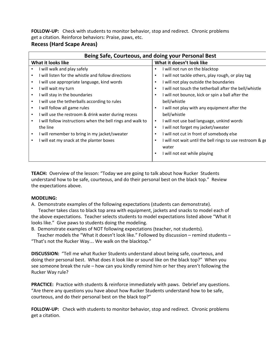**FOLLOW-UP:** Check with students to monitor behavior, stop and redirect. Chronic problems get a citation. Reinforce behaviors: Praise, paws, etc.

### **Recess (Hard Scape Areas)**

|                    | Being Safe, Courteous, and doing your Personal Best        |                |                                                           |  |  |
|--------------------|------------------------------------------------------------|----------------|-----------------------------------------------------------|--|--|
| What it looks like |                                                            |                | What it doesn't look like                                 |  |  |
|                    | I will walk and play safely                                |                | I will not run on the blacktop                            |  |  |
|                    | I will listen for the whistle and follow directions        |                | I will not tackle others, play rough, or play tag         |  |  |
| ٠                  | I will use appropriate language, kind words                | п              | I will not play outside the boundaries                    |  |  |
| ٠                  | I will wait my turn                                        | $\blacksquare$ | I will not touch the tetherball after the bell/whistle    |  |  |
| ٠                  | I will stay in the boundaries                              | $\blacksquare$ | I will not bounce, kick or spin a ball after the          |  |  |
| ٠                  | I will use the tetherballs according to rules              |                | bell/whistle                                              |  |  |
|                    | I will follow all game rules                               |                | I will not play with any equipment after the              |  |  |
| ٠                  | I will use the restroom & drink water during recess        |                | bell/whistle                                              |  |  |
|                    | I will follow instructions when the bell rings and walk to | $\blacksquare$ | I will not use bad language, unkind words                 |  |  |
|                    | the line                                                   | $\blacksquare$ | I will not forget my jacket/sweater                       |  |  |
| ٠                  | I will remember to bring in my jacket/sweater              | $\blacksquare$ | I will not cut in front of somebody else                  |  |  |
| ٠                  | I will eat my snack at the planter boxes                   | ٠              | I will not wait until the bell rings to use restroom & ge |  |  |
|                    |                                                            |                | water                                                     |  |  |
|                    |                                                            |                | I will not eat while playing                              |  |  |

**TEACH:** Overview of the lesson: "Today we are going to talk about how Rucker Students understand how to be safe, courteous, and do their personal best on the black top." Review the expectations above.

### **MODELING:**

A. Demonstrate examples of the following expectations (students can demonstrate).

 Teacher takes class to black top area with equipment, jackets and snacks to model each of the above expectations. Teacher selects students to model expectations listed above "What it looks like." Give paws to students doing the modeling.

B. Demonstrate examples of NOT following expectations (teacher, not students).

 Teacher models the "What it doesn't look like." Followed by discussion – remind students – "That's not the Rucker Way… We walk on the blacktop."

**DISCUSSION:** "Tell me what Rucker Students understand about being safe, courteous, and doing their personal best. What does it look like or sound like on the black top?" When you see someone break the rule – how can you kindly remind him or her they aren't following the Rucker Way rule?

**PRACTICE:** Practice with students & reinforce immediately with paws. Debrief any questions. "Are there any questions you have about how Rucker Students understand how to be safe, courteous, and do their personal best on the black top?"

**FOLLOW-UP:** Check with students to monitor behavior, stop and redirect. Chronic problems get a citation.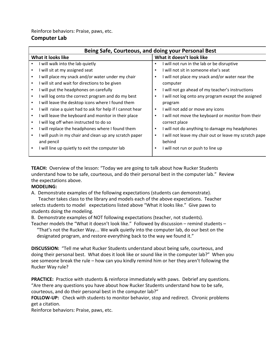Reinforce behaviors: Praise, paws, etc.

### **Computer Lab**

|   | Being Safe, Courteous, and doing your Personal Best       |                |                                                        |  |
|---|-----------------------------------------------------------|----------------|--------------------------------------------------------|--|
|   | What it looks like                                        |                | What it doesn't look like                              |  |
|   | I will walk into the lab quietly                          |                | I will not run in the lab or be disruptive             |  |
|   | I will sit at my assigned seat                            |                | I will not sit in someone else's seat                  |  |
|   | I will place my snack and/or water under my chair         |                | I will not place my snack and/or water near the        |  |
|   | I will sit and wait for directions to be given            |                | computer                                               |  |
|   | I will put the headphones on carefully                    | ٠              | I will not go ahead of my teacher's instructions       |  |
|   | I will log onto the correct program and do my best        | $\blacksquare$ | I will not log onto any program except the assigned    |  |
| ٠ | I will leave the desktop icons where I found them         |                | program                                                |  |
|   | I will raise a quiet had to ask for help if I cannot hear | ٠              | I will not add or move any icons                       |  |
|   | I will leave the keyboard and monitor in their place      |                | I will not move the keyboard or monitor from their     |  |
|   | I will log off when instructed to do so                   |                | correct place                                          |  |
| ٠ | I will replace the headphones where I found them          | ٠              | I will not do anything to damage my headphones         |  |
|   | I will push in my chair and clean up any scratch paper    | ٠              | I will not leave my chair out or leave my scratch pape |  |
|   | and pencil                                                |                | behind                                                 |  |
| ٠ | I will line up quietly to exit the computer lab           |                | I will not run or push to line up                      |  |

**TEACH:** Overview of the lesson: "Today we are going to talk about how Rucker Students understand how to be safe, courteous, and do their personal best in the computer lab." Review the expectations above.

#### **MODELING:**

A. Demonstrate examples of the following expectations (students can demonstrate).

 Teacher takes class to the library and models each of the above expectations. Teacher selects students to model expectations listed above "What it looks like." Give paws to students doing the modeling.

B. Demonstrate examples of NOT following expectations (teacher, not students).

Teacher models the "What it doesn't look like." Followed by discussion – remind students – "That's not the Rucker Way… We walk quietly into the computer lab, do our best on the designated program, and restore everything back to the way we found it."

**DISCUSSION:** "Tell me what Rucker Students understand about being safe, courteous, and doing their personal best. What does it look like or sound like in the computer lab?" When you see someone break the rule – how can you kindly remind him or her they aren't following the Rucker Way rule?

**PRACTICE:** Practice with students & reinforce immediately with paws. Debrief any questions. "Are there any questions you have about how Rucker Students understand how to be safe, courteous, and do their personal best in the computer lab?"

**FOLLOW-UP:** Check with students to monitor behavior, stop and redirect. Chronic problems get a citation.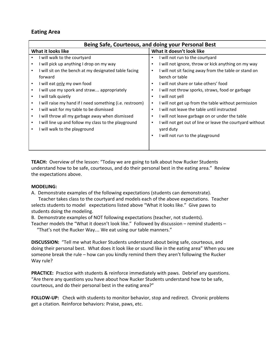### **Eating Area**

|                    | Being Safe, Courteous, and doing your Personal Best      |   |                                                           |  |  |
|--------------------|----------------------------------------------------------|---|-----------------------------------------------------------|--|--|
| What it looks like |                                                          |   | What it doesn't look like                                 |  |  |
|                    | I will walk to the courtyard                             |   | I will not run to the courtyard                           |  |  |
|                    | I will pick up anything I drop on my way                 |   | I will not ignore, throw or kick anything on my way       |  |  |
| ٠                  | I will sit on the bench at my designated table facing    |   | I will not sit facing away from the table or stand on     |  |  |
|                    | forward                                                  |   | bench or table                                            |  |  |
|                    | I will eat only my own food                              |   | I will not share or take others' food                     |  |  |
|                    | I will use my spork and straw appropriately              |   | I will not throw sporks, straws, food or garbage          |  |  |
| ٠                  | I will talk quietly                                      |   | I will not yell                                           |  |  |
| ٠                  | I will raise my hand if I need something (i.e. restroom) | ٠ | I will not get up from the table without permission       |  |  |
| ٠                  | I will wait for my table to be dismissed                 |   | I will not leave the table until instructed               |  |  |
|                    | I will throw all my garbage away when dismissed          |   | I will not leave garbage on or under the table            |  |  |
| ٠                  | I will line up and follow my class to the playground     |   | I will not get out of line or leave the courtyard without |  |  |
| ٠                  | I will walk to the playground                            |   | yard duty                                                 |  |  |
|                    |                                                          |   | I will not run to the playground                          |  |  |
|                    |                                                          |   |                                                           |  |  |
|                    |                                                          |   |                                                           |  |  |

**TEACH:** Overview of the lesson: "Today we are going to talk about how Rucker Students understand how to be safe, courteous, and do their personal best in the eating area." Review the expectations above.

#### **MODELING:**

A. Demonstrate examples of the following expectations (students can demonstrate).

 Teacher takes class to the courtyard and models each of the above expectations. Teacher selects students to model expectations listed above "What it looks like." Give paws to students doing the modeling.

B. Demonstrate examples of NOT following expectations (teacher, not students).

Teacher models the "What it doesn't look like." Followed by discussion – remind students – "That's not the Rucker Way… We eat using our table manners."

**DISCUSSION:** "Tell me what Rucker Students understand about being safe, courteous, and doing their personal best. What does it look like or sound like in the eating area" When you see someone break the rule – how can you kindly remind them they aren't following the Rucker Way rule?

**PRACTICE:** Practice with students & reinforce immediately with paws. Debrief any questions. "Are there any questions you have about how Rucker Students understand how to be safe, courteous, and do their personal best in the eating area?"

**FOLLOW-UP:** Check with students to monitor behavior, stop and redirect. Chronic problems get a citation. Reinforce behaviors: Praise, paws, etc.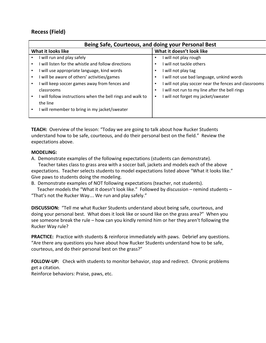### **Recess (Field)**

| Being Safe, Courteous, and doing your Personal Best                          |                                                            |  |  |
|------------------------------------------------------------------------------|------------------------------------------------------------|--|--|
| What it looks like                                                           | What it doesn't look like                                  |  |  |
| will run and play safely<br>٠                                                | I will not play rough<br>٠                                 |  |  |
| will listen for the whistle and follow directions                            | I will not tackle others<br>٠                              |  |  |
| I will use appropriate language, kind words                                  | I will not play tag<br>٠                                   |  |  |
| I will be aware of others' activities/games<br>٠                             | I will not use bad language, unkind words<br>٠             |  |  |
| will keep soccer games away from fences and                                  | I will not play soccer near the fences and classrooms<br>٠ |  |  |
| classrooms                                                                   | I will not run to my line after the bell rings<br>٠        |  |  |
| I will follow instructions when the bell rings and walk to<br>$\blacksquare$ | I will not forget my jacket/sweater<br>٠                   |  |  |
| the line                                                                     |                                                            |  |  |
| I will remember to bring in my jacket/sweater                                |                                                            |  |  |
|                                                                              |                                                            |  |  |

**TEACH:** Overview of the lesson: "Today we are going to talk about how Rucker Students understand how to be safe, courteous, and do their personal best on the field." Review the expectations above.

#### **MODELING:**

A. Demonstrate examples of the following expectations (students can demonstrate).

 Teacher takes class to grass area with a soccer ball, jackets and models each of the above expectations. Teacher selects students to model expectations listed above "What it looks like." Give paws to students doing the modeling.

B. Demonstrate examples of NOT following expectations (teacher, not students).

 Teacher models the "What it doesn't look like." Followed by discussion – remind students – "That's not the Rucker Way… We run and play safely."

**DISCUSSION:** "Tell me what Rucker Students understand about being safe, courteous, and doing your personal best. What does it look like or sound like on the grass area?" When you see someone break the rule – how can you kindly remind him or her they aren't following the Rucker Way rule?

**PRACTICE:** Practice with students & reinforce immediately with paws. Debrief any questions. "Are there any questions you have about how Rucker Students understand how to be safe, courteous, and do their personal best on the grass?"

**FOLLOW-UP:** Check with students to monitor behavior, stop and redirect. Chronic problems get a citation.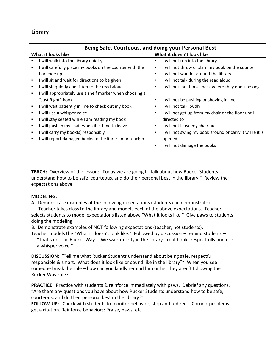### **Library**

|                    | Being Safe, Courteous, and doing your Personal Best     |                |                                                         |  |
|--------------------|---------------------------------------------------------|----------------|---------------------------------------------------------|--|
| What it looks like |                                                         |                | What it doesn't look like                               |  |
|                    | I will walk into the library quietly                    | ٠              | I will not run into the library                         |  |
|                    | I will carefully place my books on the counter with the | ٠              | I will not throw or slam my book on the counter         |  |
|                    | bar code up                                             | $\blacksquare$ | I will not wander around the library                    |  |
|                    | I will sit and wait for directions to be given          | ٠              | I will not talk during the read aloud                   |  |
|                    | I will sit quietly and listen to the read aloud         | ٠              | I will not put books back where they don't belong       |  |
|                    | I will appropriately use a shelf marker when choosing a |                |                                                         |  |
|                    | "Just Right" book                                       | ٠              | I will not be pushing or shoving in line                |  |
|                    | I will wait patiently in line to check out my book      | ٠              | I will not talk loudly                                  |  |
|                    | I will use a whisper voice                              | ٠              | I will not get up from my chair or the floor until      |  |
|                    | I will stay seated while I am reading my book           |                | directed to                                             |  |
|                    | I will push in my chair when it is time to leave        | ٠              | I will not leave my chair out                           |  |
|                    | I will carry my book(s) responsibly                     | ٠              | I will not swing my book around or carry it while it is |  |
|                    | I will report damaged books to the librarian or teacher |                | opened                                                  |  |
|                    |                                                         | ٠              | I will not damage the books                             |  |
|                    |                                                         |                |                                                         |  |
|                    |                                                         |                |                                                         |  |

**TEACH:** Overview of the lesson: "Today we are going to talk about how Rucker Students understand how to be safe, courteous, and do their personal best in the library." Review the expectations above.

#### **MODELING:**

A. Demonstrate examples of the following expectations (students can demonstrate).

 Teacher takes class to the library and models each of the above expectations. Teacher selects students to model expectations listed above "What it looks like." Give paws to students doing the modeling.

B. Demonstrate examples of NOT following expectations (teacher, not students).

Teacher models the "What it doesn't look like." Followed by discussion – remind students – "That's not the Rucker Way… We walk quietly in the library, treat books respectfully and use a whisper voice."

**DISCUSSION:** "Tell me what Rucker Students understand about being safe, respectful, responsible & smart. What does it look like or sound like in the library?" When you see someone break the rule – how can you kindly remind him or her they aren't following the Rucker Way rule?

**PRACTICE:** Practice with students & reinforce immediately with paws. Debrief any questions. "Are there any questions you have about how Rucker Students understand how to be safe, courteous, and do their personal best in the library?"

**FOLLOW-UP:** Check with students to monitor behavior, stop and redirect. Chronic problems get a citation. Reinforce behaviors: Praise, paws, etc.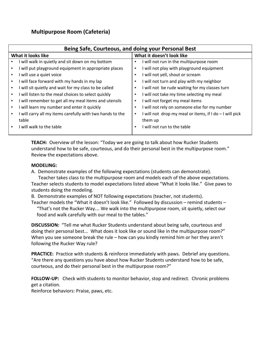### **Multipurpose Room (Cafeteria)**

| Being Safe, Courteous, and doing your Personal Best       |                                                              |  |  |
|-----------------------------------------------------------|--------------------------------------------------------------|--|--|
| What it looks like                                        | What it doesn't look like                                    |  |  |
| I will walk in quietly and sit down on my bottom          | will not run in the multipurpose room<br>٠                   |  |  |
| I will put playground equipment in appropriate places     | will not play with playground equipment                      |  |  |
| will use a quiet voice                                    | will not yell, shout or scream                               |  |  |
| I will face forward with my hands in my lap               | I will not turn and play with my neighbor                    |  |  |
| will sit quietly and wait for my class to be called       | I will not be rude waiting for my classes turn               |  |  |
| I will listen to the meal choices to select quickly       | I will not take my time selecting my meal                    |  |  |
| will remember to get all my meal items and utensils       | I will not forget my meal items<br>٠                         |  |  |
| will learn my number and enter it quickly                 | I will not rely on someone else for my number                |  |  |
| I will carry all my items carefully with two hands to the | I will not drop my meal or items, if I do - I will pick<br>٠ |  |  |
| table                                                     | them up                                                      |  |  |
| I will walk to the table                                  | I will not run to the table                                  |  |  |
|                                                           |                                                              |  |  |

**TEACH:** Overview of the lesson: "Today we are going to talk about how Rucker Students understand how to be safe, courteous, and do their personal best in the multipurpose room." Review the expectations above.

#### **MODELING:**

A. Demonstrate examples of the following expectations (students can demonstrate).

 Teacher takes class to the multipurpose room and models each of the above expectations. Teacher selects students to model expectations listed above "What it looks like." Give paws to students doing the modeling.

B. Demonstrate examples of NOT following expectations (teacher, not students).

Teacher models the "What it doesn't look like." Followed by discussion – remind students –

"That's not the Rucker Way… We walk into the multipurpose room, sit quietly, select our food and walk carefully with our meal to the tables."

**DISCUSSION:** "Tell me what Rucker Students understand about being safe, courteous and doing their personal best... What does it look like or sound like in the multipurpose room?" When you see someone break the rule – how can you kindly remind him or her they aren't following the Rucker Way rule?

**PRACTICE:** Practice with students & reinforce immediately with paws. Debrief any questions. "Are there any questions you have about how Rucker Students understand how to be safe, courteous, and do their personal best in the multipurpose room?"

**FOLLOW-UP:** Check with students to monitor behavior, stop and redirect. Chronic problems get a citation.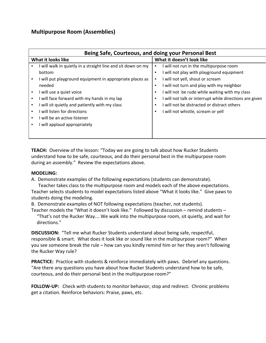### **Multipurpose Room (Assemblies)**

|                    | Being Safe, Courteous, and doing your Personal Best          |                |                                                         |  |
|--------------------|--------------------------------------------------------------|----------------|---------------------------------------------------------|--|
| What it looks like |                                                              |                | What it doesn't look like                               |  |
|                    | I will walk in quietly in a straight line and sit down on my |                | I will not run in the multipurpose room                 |  |
|                    | bottom                                                       | п              | I will not play with playground equipment               |  |
|                    | I will put playground equipment in appropriate places as     | ٠              | I will not yell, shout or scream                        |  |
|                    | needed                                                       | ٠              | I will not turn and play with my neighbor               |  |
|                    | I will use a quiet voice                                     | ٠              | I will not be rude while waiting with my class          |  |
| ٠                  | I will face forward with my hands in my lap                  | п              | I will not talk or interrupt while directions are given |  |
|                    | I will sit quietly and patiently with my class               | $\blacksquare$ | I will not be distracted or distract others             |  |
| ٠                  | I will listen for directions                                 | п              | I will not whistle, scream or yell                      |  |
|                    | I will be an active listener                                 |                |                                                         |  |
|                    | I will applaud appropriately                                 |                |                                                         |  |
|                    |                                                              |                |                                                         |  |
|                    |                                                              |                |                                                         |  |

**TEACH:** Overview of the lesson: "Today we are going to talk about how Rucker Students understand how to be safe, courteous, and do their personal best in the multipurpose room during an assembly." Review the expectations above.

### **MODELING:**

A. Demonstrate examples of the following expectations (students can demonstrate).

 Teacher takes class to the multipurpose room and models each of the above expectations. Teacher selects students to model expectations listed above "What it looks like." Give paws to students doing the modeling.

B. Demonstrate examples of NOT following expectations (teacher, not students).

Teacher models the "What it doesn't look like." Followed by discussion – remind students – "That's not the Rucker Way… We walk into the multipurpose room, sit quietly, and wait for directions."

**DISCUSSION:** "Tell me what Rucker Students understand about being safe, respectful, responsible & smart. What does it look like or sound like in the multipurpose room?" When you see someone break the rule – how can you kindly remind him or her they aren't following the Rucker Way rule?

**PRACTICE:** Practice with students & reinforce immediately with paws. Debrief any questions. "Are there any questions you have about how Rucker Students understand how to be safe, courteous, and do their personal best in the multipurpose room?"

**FOLLOW-UP:** Check with students to monitor behavior, stop and redirect. Chronic problems get a citation. Reinforce behaviors: Praise, paws, etc.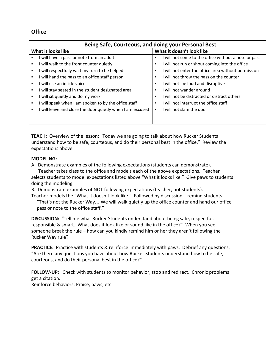### **Office**

| Being Safe, Courteous, and doing your Personal Best        |                                                                       |  |  |
|------------------------------------------------------------|-----------------------------------------------------------------------|--|--|
| What it looks like                                         | What it doesn't look like                                             |  |  |
| I will have a pass or note from an adult                   | I will not come to the office without a note or pass<br>٠             |  |  |
| I will walk to the front counter quietly<br>$\blacksquare$ | I will not run or shout coming into the office<br>$\blacksquare$      |  |  |
| will respectfully wait my turn to be helped                | I will not enter the office area without permission<br>$\blacksquare$ |  |  |
| I will hand the pass to an office staff person             | I will not throw the pass on the counter<br>٠                         |  |  |
| I will use an inside voice<br>$\blacksquare$               | I will not be loud and disruptive<br>٠                                |  |  |
| I will stay seated in the student designated area          | I will not wander around<br>п                                         |  |  |
| I will sit quietly and do my work                          | I will not be distracted or distract others<br>٠                      |  |  |
| will speak when I am spoken to by the office staff         | I will not interrupt the office staff<br>٠                            |  |  |
| will leave and close the door quietly when I am excused    | I will not slam the door                                              |  |  |
|                                                            |                                                                       |  |  |
|                                                            |                                                                       |  |  |

**TEACH:** Overview of the lesson: "Today we are going to talk about how Rucker Students understand how to be safe, courteous, and do their personal best in the office." Review the expectations above.

### **MODELING:**

A. Demonstrate examples of the following expectations (students can demonstrate).

 Teacher takes class to the office and models each of the above expectations. Teacher selects students to model expectations listed above "What it looks like." Give paws to students doing the modeling.

B. Demonstrate examples of NOT following expectations (teacher, not students).

Teacher models the "What it doesn't look like." Followed by discussion – remind students –

"That's not the Rucker Way… We will walk quietly up the office counter and hand our office pass or note to the office staff."

**DISCUSSION:** "Tell me what Rucker Students understand about being safe, respectful, responsible & smart. What does it look like or sound like in the office?" When you see someone break the rule – how can you kindly remind him or her they aren't following the Rucker Way rule?

**PRACTICE:** Practice with students & reinforce immediately with paws. Debrief any questions. "Are there any questions you have about how Rucker Students understand how to be safe, courteous, and do their personal best in the office?"

**FOLLOW-UP:** Check with students to monitor behavior, stop and redirect. Chronic problems get a citation.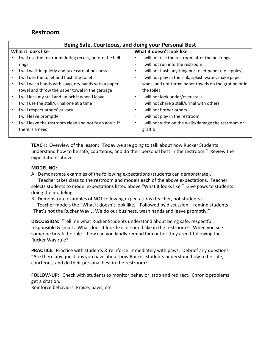### **Restroom**

| Being Safe, Courteous, and doing your Personal Best         |                                                           |  |
|-------------------------------------------------------------|-----------------------------------------------------------|--|
| What it looks like                                          | What it doesn't look like                                 |  |
| I will use the restroom during recess, before the bell      | will not use the restroom after the bell rings<br>٠       |  |
| rings                                                       | I will not run into the restroom<br>٠                     |  |
| I will walk in quietly and take care of business            | I will not flush anything but toilet paper (i.e. apples)  |  |
| I will use the toilet and flush the toilet                  | I will not play in the sink, splash water, make paper     |  |
| I will wash hands with soap, dry hands with a paper         | wads, and not throw paper towels on the ground or in      |  |
| towel and throw the paper towel in the garbage              | the toilet                                                |  |
| I will lock my stall and unlock it when I leave             | I will not look under/over stalls<br>٠                    |  |
| I will use the stall/urinal one at a time                   | I will not share a stall/urinal with others               |  |
| I will respect others' privacy                              | I will not bother others<br>٠                             |  |
| I will leave promptly                                       | I will not play in the restroom<br>٠                      |  |
| I will leave the restroom clean and notify an adult if<br>٠ | I will not write on the walls/damage the restroom or<br>٠ |  |
| there is a need                                             | graffiti                                                  |  |
|                                                             |                                                           |  |

**TEACH:** Overview of the lesson: "Today we are going to talk about how Rucker Students understand how to be safe, courteous, and do their personal best in the restroom." Review the expectations above.

### **MODELING:**

A. Demonstrate examples of the following expectations (students can demonstrate).

 Teacher takes class to the restroom and models each of the above expectations. Teacher selects students to model expectations listed above "What it looks like." Give paws to students doing the modeling.

B. Demonstrate examples of NOT following expectations (teacher, not students).

 Teacher models the "What it doesn't look like." Followed by discussion – remind students – "That's not the Rucker Way… We do our business, wash hands and leave promptly."

**DISCUSSION:** "Tell me what Rucker Students understand about being safe, respectful, responsible & smart. What does it look like or sound like in the restroom?" When you see someone break the rule – how can you kindly remind him or her they aren't following the Rucker Way rule?

**PRACTICE:** Practice with students & reinforce immediately with paws. Debrief any questions. "Are there any questions you have about how Rucker Students understand how to be safe, courteous, and do their personal best in the restroom?"

**FOLLOW-UP:** Check with students to monitor behavior, stop and redirect. Chronic problems get a citation.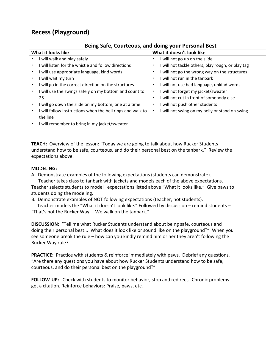## **Recess (Playground)**

| Being Safe, Courteous, and doing your Personal Best             |                                                                 |
|-----------------------------------------------------------------|-----------------------------------------------------------------|
| What it looks like                                              | What it doesn't look like                                       |
| I will walk and play safely<br>٠                                | I will not go up on the slide<br>٠                              |
| I will listen for the whistle and follow directions             | I will not tackle others, play rough, or play tag<br>٠          |
| I will use appropriate language, kind words                     | I will not go the wrong way on the structures<br>$\blacksquare$ |
| I will wait my turn                                             | I will not run in the tanbark<br>$\blacksquare$                 |
| I will go in the correct direction on the structures            | I will not use bad language, unkind words<br>$\blacksquare$     |
| I will use the swings safely on my bottom and count to          | I will not forget my jacket/sweater<br>$\blacksquare$           |
| 25                                                              | I will not cut in front of somebody else<br>٠                   |
| I will go down the slide on my bottom, one at a time            | I will not push other students<br>$\blacksquare$                |
| I will follow instructions when the bell rings and walk to<br>٠ | I will not swing on my belly or stand on swing<br>٠             |
| the line                                                        |                                                                 |
| I will remember to bring in my jacket/sweater                   |                                                                 |
|                                                                 |                                                                 |

**TEACH:** Overview of the lesson: "Today we are going to talk about how Rucker Students understand how to be safe, courteous, and do their personal best on the tanbark." Review the expectations above.

#### **MODELING:**

A. Demonstrate examples of the following expectations (students can demonstrate).

 Teacher takes class to tanbark with jackets and models each of the above expectations. Teacher selects students to model expectations listed above "What it looks like." Give paws to students doing the modeling.

B. Demonstrate examples of NOT following expectations (teacher, not students).

 Teacher models the "What it doesn't look like." Followed by discussion – remind students – "That's not the Rucker Way… We walk on the tanbark."

**DISCUSSION:** "Tell me what Rucker Students understand about being safe, courteous and doing their personal best... What does it look like or sound like on the playground?" When you see someone break the rule – how can you kindly remind him or her they aren't following the Rucker Way rule?

**PRACTICE:** Practice with students & reinforce immediately with paws. Debrief any questions. "Are there any questions you have about how Rucker Students understand how to be safe, courteous, and do their personal best on the playground?"

**FOLLOW-UP:** Check with students to monitor behavior, stop and redirect. Chronic problems get a citation. Reinforce behaviors: Praise, paws, etc.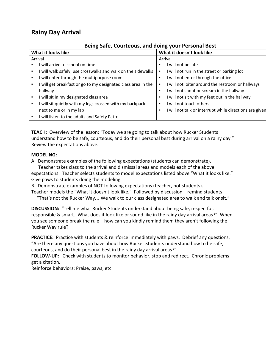### **Rainy Day Arrival**

| Being Safe, Courteous, and doing your Personal Best           |                                                         |  |
|---------------------------------------------------------------|---------------------------------------------------------|--|
| What it looks like                                            | What it doesn't look like                               |  |
| Arrival                                                       | Arrival                                                 |  |
| I will arrive to school on time                               | I will not be late<br>٠                                 |  |
| I will walk safely, use crosswalks and walk on the sidewalks  | I will not run in the street or parking lot<br>٠        |  |
| I will enter through the multipurpose room                    | I will not enter through the office                     |  |
| I will get breakfast or go to my designated class area in the | I will not loiter around the restroom or hallways<br>٠  |  |
| hallway                                                       | I will not shout or scream in the hallway               |  |
| I will sit in my designated class area<br>٠                   | I will not sit with my feet out in the hallway<br>٠     |  |
| I will sit quietly with my legs crossed with my backpack      | I will not touch others<br>$\blacksquare$               |  |
| next to me or in my lap                                       | I will not talk or interrupt while directions are given |  |
| I will listen to the adults and Safety Patrol                 |                                                         |  |

**TEACH:** Overview of the lesson: "Today we are going to talk about how Rucker Students understand how to be safe, courteous, and do their personal best during arrival on a rainy day." Review the expectations above.

### **MODELING:**

A. Demonstrate examples of the following expectations (students can demonstrate).

 Teacher takes class to the arrival and dismissal areas and models each of the above expectations. Teacher selects students to model expectations listed above "What it looks like." Give paws to students doing the modeling.

B. Demonstrate examples of NOT following expectations (teacher, not students).

Teacher models the "What it doesn't look like." Followed by discussion – remind students –

"That's not the Rucker Way… We walk to our class designated area to walk and talk or sit."

**DISCUSSION:** "Tell me what Rucker Students understand about being safe, respectful, responsible & smart. What does it look like or sound like in the rainy day arrival areas?" When you see someone break the rule – how can you kindly remind them they aren't following the Rucker Way rule?

**PRACTICE:** Practice with students & reinforce immediately with paws. Debrief any questions. "Are there any questions you have about how Rucker Students understand how to be safe, courteous, and do their personal best in the rainy day arrival areas?"

**FOLLOW-UP:** Check with students to monitor behavior, stop and redirect. Chronic problems get a citation.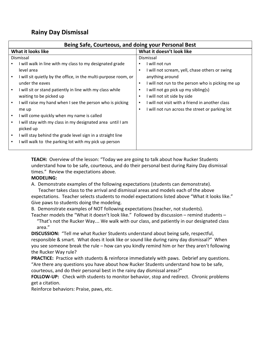### **Rainy Day Dismissal**

| Being Safe, Courteous, and doing your Personal Best                                                                                                                                                                                                                                                                                                                                                                                                                                                                                                                                                            |                                                                                                                                                                                                                                                                                                                                                                              |  |
|----------------------------------------------------------------------------------------------------------------------------------------------------------------------------------------------------------------------------------------------------------------------------------------------------------------------------------------------------------------------------------------------------------------------------------------------------------------------------------------------------------------------------------------------------------------------------------------------------------------|------------------------------------------------------------------------------------------------------------------------------------------------------------------------------------------------------------------------------------------------------------------------------------------------------------------------------------------------------------------------------|--|
| What it looks like                                                                                                                                                                                                                                                                                                                                                                                                                                                                                                                                                                                             | What it doesn't look like                                                                                                                                                                                                                                                                                                                                                    |  |
| Dismissal<br>I will walk in line with my class to my designated grade<br>level area<br>I will sit quietly by the office, in the multi-purpose room, or<br>under the eaves<br>I will sit or stand patiently in line with my class while<br>٠<br>waiting to be picked up<br>I will raise my hand when I see the person who is picking<br>٠<br>me up<br>I will come quickly when my name is called<br>٠<br>I will stay with my class in my designated area until I am<br>picked up<br>I will stay behind the grade level sign in a straight line<br>٠<br>will walk to the parking lot with my pick up person<br>٠ | Dismissal<br>I will not run<br>I will not scream, yell, chase others or swing<br>٠<br>anything around<br>I will not run to the person who is picking me up<br>٠<br>I will not go pick up my sibling(s)<br>٠<br>I will not sit side by side<br>$\blacksquare$<br>I will not visit with a friend in another class<br>٠<br>I will not run across the street or parking lot<br>٠ |  |
|                                                                                                                                                                                                                                                                                                                                                                                                                                                                                                                                                                                                                |                                                                                                                                                                                                                                                                                                                                                                              |  |

**TEACH:** Overview of the lesson: "Today we are going to talk about how Rucker Students understand how to be safe, courteous, and do their personal best during Rainy Day dismissal times." Review the expectations above.

### **MODELING:**

A. Demonstrate examples of the following expectations (students can demonstrate).

 Teacher takes class to the arrival and dismissal areas and models each of the above expectations. Teacher selects students to model expectations listed above "What it looks like." Give paws to students doing the modeling.

B. Demonstrate examples of NOT following expectations (teacher, not students).

Teacher models the "What it doesn't look like." Followed by discussion – remind students – "That's not the Rucker Way… We walk with our class, and patiently in our designated class area."

**DISCUSSION:** "Tell me what Rucker Students understand about being safe, respectful, responsible & smart. What does it look like or sound like during rainy day dismissal?" When you see someone break the rule – how can you kindly remind him or her they aren't following the Rucker Way rule?

**PRACTICE:** Practice with students & reinforce immediately with paws. Debrief any questions. "Are there any questions you have about how Rucker Students understand how to be safe, courteous, and do their personal best in the rainy day dismissal areas?"

**FOLLOW-UP:** Check with students to monitor behavior, stop and redirect. Chronic problems get a citation.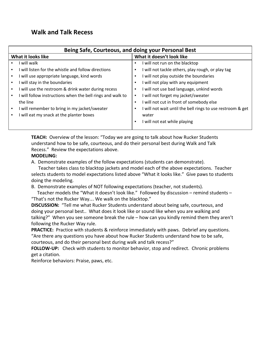### **Walk and Talk Recess**

| Being Safe, Courteous, and doing your Personal Best                          |                                                            |  |
|------------------------------------------------------------------------------|------------------------------------------------------------|--|
| What it looks like                                                           | What it doesn't look like                                  |  |
| I will walk                                                                  | I will not run on the blacktop                             |  |
| I will listen for the whistle and follow directions                          | I will not tackle others, play rough, or play tag          |  |
| I will use appropriate language, kind words<br>$\blacksquare$                | I will not play outside the boundaries                     |  |
| I will stay in the boundaries<br>$\blacksquare$                              | I will not play with any equipment                         |  |
| I will use the restroom & drink water during recess<br>$\blacksquare$        | I will not use bad language, unkind words                  |  |
| I will follow instructions when the bell rings and walk to<br>$\blacksquare$ | I will not forget my jacket/sweater                        |  |
| the line                                                                     | I will not cut in front of somebody else                   |  |
| I will remember to bring in my jacket/sweater                                | I will not wait until the bell rings to use restroom & get |  |
| I will eat my snack at the planter boxes                                     | water                                                      |  |
|                                                                              | will not eat while playing                                 |  |

**TEACH:** Overview of the lesson: "Today we are going to talk about how Rucker Students understand how to be safe, courteous, and do their personal best during Walk and Talk Recess." Review the expectations above.

### **MODELING:**

A. Demonstrate examples of the follow expectations (students can demonstrate).

 Teacher takes class to blacktop jackets and model each of the above expectations. Teacher selects students to model expectations listed above "What it looks like." Give paws to students doing the modeling.

B. Demonstrate examples of NOT following expectations (teacher, not students).

 Teacher models the "What it doesn't look like." Followed by discussion – remind students – "That's not the Rucker Way… We walk on the blacktop."

**DISCUSSION:** "Tell me what Rucker Students understand about being safe, courteous, and doing your personal best.. What does it look like or sound like when you are walking and talking?" When you see someone break the rule – how can you kindly remind them they aren't following the Rucker Way rule.

**PRACTICE:** Practice with students & reinforce immediately with paws. Debrief any questions. "Are there any questions you have about how Rucker Students understand how to be safe, courteous, and do their personal best during walk and talk recess?"

**FOLLOW-UP:** Check with students to monitor behavior, stop and redirect. Chronic problems get a citation.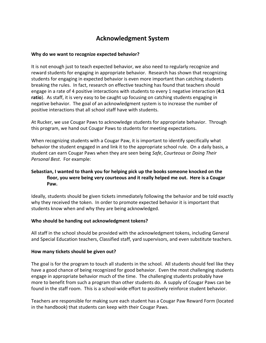### **Acknowledgment System**

#### **Why do we want to recognize expected behavior?**

It is not enough just to teach expected behavior, we also need to regularly recognize and reward students for engaging in appropriate behavior. Research has shown that recognizing students for engaging in expected behavior is even more important than catching students breaking the rules. In fact, research on effective teaching has found that teachers should engage in a rate of 4 positive interactions with students to every 1 negative interaction (**4:1 ratio**). As staff, it is very easy to be caught up focusing on catching students engaging in negative behavior. The goal of an acknowledgment system is to increase the number of positive interactions that all school staff have with students.

At Rucker, we use Cougar Paws to acknowledge students for appropriate behavior. Through this program, we hand out Cougar Paws to students for meeting expectations.

When recognizing students with a Cougar Paw, it is important to identify specifically what behavior the student engaged in and link it to the appropriate school rule. On a daily basis, a student can earn Cougar Paws when they are seen being *Safe*, *Courteous* or *Doing Their Personal Best*. For example:

### **Sebastian, I wanted to thank you for helping pick up the books someone knocked on the floor, you were being very courteous and it really helped me out. Here is a Cougar Paw.**

Ideally, students should be given tickets immediately following the behavior and be told exactly why they received the token. In order to promote expected behavior it is important that students know when and why they are being acknowledged.

#### **Who should be handing out acknowledgment tokens?**

All staff in the school should be provided with the acknowledgment tokens, including General and Special Education teachers, Classified staff, yard supervisors, and even substitute teachers.

#### **How many tickets should be given out?**

The goal is for the program to touch all students in the school. All students should feel like they have a good chance of being recognized for good behavior. Even the most challenging students engage in appropriate behavior much of the time. The challenging students probably have more to benefit from such a program than other students do. A supply of Cougar Paws can be found in the staff room. This is a school-wide effort to positively reinforce student behavior.

Teachers are responsible for making sure each student has a Cougar Paw Reward Form (located in the handbook) that students can keep with their Cougar Paws.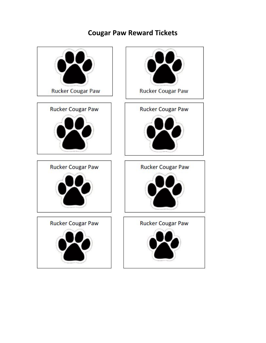# **Cougar Paw Reward Tickets**

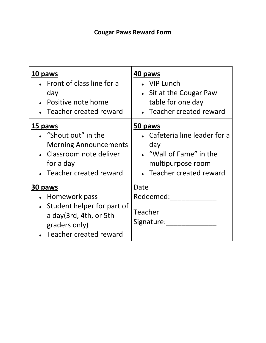# **Cougar Paws Reward Form**

| <u>10 paws</u>                                                                                                                                    | <u>40 paws</u>                             |
|---------------------------------------------------------------------------------------------------------------------------------------------------|--------------------------------------------|
| • Front of class line for a                                                                                                                       | • VIP Lunch                                |
| day                                                                                                                                               | • Sit at the Cougar Paw                    |
| • Positive note home                                                                                                                              | table for one day                          |
| Teacher created reward                                                                                                                            | • Teacher created reward                   |
| <u>15 paws</u>                                                                                                                                    | 50 paws                                    |
| • "Shout out" in the                                                                                                                              | • Cafeteria line leader for a              |
| <b>Morning Announcements</b>                                                                                                                      | day                                        |
| • Classroom note deliver                                                                                                                          | • "Wall of Fame" in the                    |
| for a day                                                                                                                                         | multipurpose room                          |
| • Teacher created reward                                                                                                                          | • Teacher created reward                   |
| <b>30 paws</b><br>Homework pass<br>Student helper for part of<br>$\bullet$<br>a day(3rd, 4th, or 5th<br>graders only)<br>• Teacher created reward | Date<br>Redeemed:<br>Teacher<br>Signature: |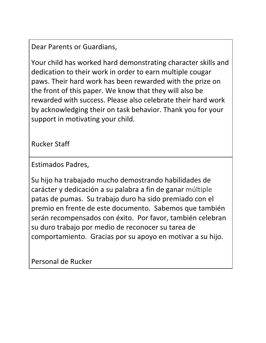Dear Parents or Guardians,

Your child has worked hard demonstrating character skills and dedication to their work in order to earn multiple cougar paws. Their hard work has been rewarded with the prize on the front of this paper. We know that they will also be rewarded with success. Please also celebrate their hard work by acknowledging their on task behavior. Thank you for your support in motivating your child.

Rucker Staff

Estimados Padres,

Su hijo ha trabajado mucho demostrando habilidades de carácter y dedicación a su palabra a fin de ganar múltiple patas de pumas. Su trabajo duro ha sido premiado con el premio en frente de este documento. Sabemos que también serán recompensados con éxito. Por favor, también celebran su duro trabajo por medio de reconocer su tarea de comportamiento. Gracias por su apoyo en motivar a su hijo.

Personal de Rucker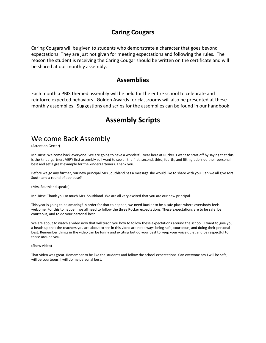### **Caring Cougars**

Caring Cougars will be given to students who demonstrate a character that goes beyond expectations. They are just not given for meeting expectations and following the rules. The reason the student is receiving the Caring Cougar should be written on the certificate and will be shared at our monthly assembly.

### **Assemblies**

Each month a PBIS themed assembly will be held for the entire school to celebrate and reinforce expected behaviors. Golden Awards for classrooms will also be presented at these monthly assemblies. Suggestions and scrips for the assemblies can be found in our handbook

## **Assembly Scripts**

## Welcome Back Assembly

(Attention Getter)

Mr. Birss: Welcome back everyone! We are going to have a wonderful year here at Rucker. I want to start off by saying that this is the kindergartners VERY first assembly so I want to see all the first, second, third, fourth, and fifth graders do their personal best and set a great example for the kindergarteners. Thank you.

Before we go any further, our new principal Mrs Southland has a message she would like to share with you. Can we all give Mrs. Southland a round of applause?

(Mrs. Southland speaks)

Mr. Birss: Thank you so much Mrs. Southland. We are all very excited that you are our new principal.

This year is going to be amazing! In order for that to happen, we need Rucker to be a safe place where everybody feels welcome. For this to happen, we all need to follow the three Rucker expectations. These expectations are to be safe, be courteous, and to do your personal best.

We are about to watch a video now that will teach you how to follow these expectations around the school. I want to give you a heads up that the teachers you are about to see in this video are not always being safe, courteous, and doing their personal best. Remember things in the video can be funny and exciting but do your best to keep your voice quiet and be respectful to those around you.

(Show video)

That video was great. Remember to be like the students and follow the school expectations. Can everyone say I will be safe, I will be courteous, I will do my personal best.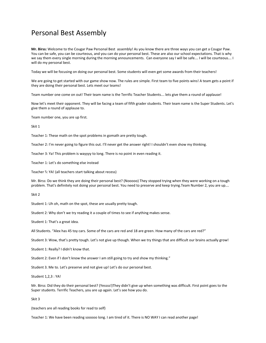## Personal Best Assembly

**Mr. Birss:** Welcome to the Cougar Paw Personal Best assembly! As you know there are three ways you can get a Cougar Paw. You can be safe, you can be courteous, and you can do your personal best. These are also our school expectations. That is why we say them every single morning during the morning announcements. Can everyone say I will be safe... I will be courteous... I will do my personal best.

Today we will be focusing on doing our personal best. Some students will even get some awards from their teachers!

We are going to get started with our game show now. The rules are simple. First team to five points wins! A team gets a point if they are doing their personal best. Lets meet our teams!

Team number one come on out! Their team name is the Terrific Teacher Students… lets give them a round of applause!

Now let's meet their opponent. They will be facing a team of fifth grader students. Their team name is the Super Students. Let's give them a round of applause to.

Team number one, you are up first.

Skit 1

Teacher 1: These math on the spot problems in gomath are pretty tough.

Teacher 2: I'm never going to figure this out. I'll never get the answer right! I shouldn't even show my thinking.

Teacher 3: Ya! This problem is wayyyy to long. There is no point in even reading it.

Teacher 1: Let's do something else instead

Teacher ⅔: YA! (all teachers start talking about recess)

Mr. Birss: Do we think they are doing their personal best? (Nooooo) They stopped trying when they were working on a tough problem. That's definitely not doing your personal best. You need to preserve and keep trying.Team Number 2, you are up…

Skit 2

Student 1: Uh oh, math on the spot, these are usually pretty tough.

Student 2: Why don't we try reading it a couple of times to see if anything makes sense.

Student 1: That's a great idea.

All Students. "Alex has 45 toy cars. Some of the cars are red and 18 are green. How many of the cars are red?"

Student 3: Wow, that's pretty tough. Let's not give up though. When we try things that are difficult our brains actually grow!

Student 1: Really? I didn't know that.

Student 2: Even if I don't know the answer I am still going to try and show my thinking."

Student 3. Me to. Let's preserve and not give up! Let's do our personal best.

Student 1,2,3 : YA!

Mr. Birss: Did they do their personal best? (Yessss!)They didn't give up when something was difficult. First point goes to the Super students. Terrific Teachers, you are up again. Let's see how you do.

Skit 3

(teachers are all reading books for read to self)

Teacher 1: We have been reading sooooo long. I am tired of it. There is NO WAY I can read another page!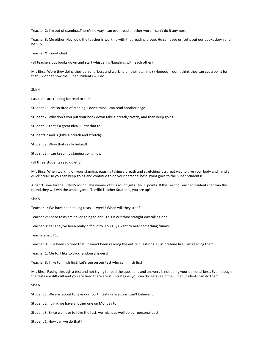Teacher 2: I'm out of stamina..There's no way I can even read another word. I can't do it anymore!

Teacher 3: Me either. Hey look, the teacher is working with that reading group. He can't see us. Let's put our books down and be silly.

Teacher ½: Good idea!

(all teachers put books down and start whispering/laughing with each other)

Mr. Birss: Were they doing they personal best and working on their stamina? (Nooooo) I don't think they can get a point for that. I wonder how the Super Students will do.

Skit 4

(students are reading for read to self)

Student 1: I am so tired of reading. I don't think I can read another page!

Student 2: Why don't you put your book down take a breath,stretch, and then keep going.

Student 3: That's a great idea. I'll try that to!

Students 2 and 3 (take a breath and stretch)

Student 2: Wow that really helped!

Student 3: I can keep my stamina going now.

(all three students read quietly)

Mr. Birss: When working on your stamina, pausing taking a breath and stretching is a great way to give your body and mind a quick break so you can keep going and continue to do your personal best. Point goes to the Super Students!

Alright! Time for the BONUS round. The winner of this round gets THREE points. If the Terrific Teacher Students can win this round they will win the whole game! Terrific Teacher Students, you are up!

Skit 5

Teacher 1: We have been taking tests all week! When will they stop?

Teacher 2: These tests are never going to end! This is our third straight day taking one

Teacher 3: Ya! They've been really difficult to. You guys want to hear something funny?

Teachers ½. : YES

Teacher 3: I've been so tired that I haven't been reading the entire questions. I just pretend like I am reading them!

Teacher 1: Me to. I like to click random answers!

Teacher 3: I like to finish first! Let's see on our test who can finish first!

Mr. Birss: Racing through a test and not trying to read the questions and answers is not doing your personal best. Even though the tests are difficult and you are tired there are still strategies you can do. Lets see if the Super Students can do them.

Skit 6

Student 1: We are about to take our fourth tests in five daysI can't believe it.

Student 2: I think we have another one on Monday to.

Student 3: Since we have to take the test, we might as well do our personal best.

Student 1: How can we do that?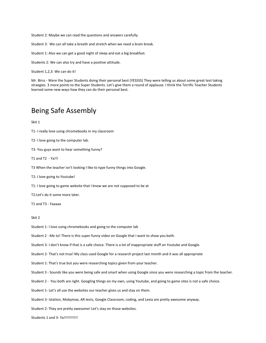Student 2: Maybe we can read the questions and answers carefully.

Student 3: We can all take a breath and stretch when we need a brain break.

Student 1: Also we can get a good night of sleep and eat a big breakfast.

Students 2: We can also try and have a positive attitude.

Student 1,2,3: We can do it!

Mr. Birss - Were the Super Students doing their personal best (YESSSS) They were telling us about some great test taking straegies. 3 more points to the Super Students. Let's give them a round of applause. I think the Terrific Teacher Students learned some new ways how they can do their personal best.

### Being Safe Assembly

Skit 1

T1- I really love using chromebooks in my classroom

T2- I love going to the computer lab.

T3- You guys want to hear something funny?

T1 and T2 - Ya!!!

T3 When the teacher isn't looking I like to type funny things into Google.

T2: I love going to Youtube!

T1: I love going to game website that I know we are not supposed to be at

T2:Let's do it some more later.

T1 and T3 - Yaaaaa

#### Skit 2

Student 1- I love using chromebooks and going to the computer lab

Student 2 - Me to! There is this super funny video on Google that I want to show you both.

Student 3- I don't know if that is a safe choice. There is a lot of inappropriate stuff on Youtube and Google.

Student 2- That's not true! My class used Google for a research project last month and it was all appropriate

Student 1: That's true but you were researching topics given from your teacher.

Student 3 - Sounds like you were being safe and smart when using Google since you were researching a topic from the teacher.

Student 2 - You both are right. Googling things on my own, using Youtube, and going to game sites is not a safe choice.

Student 1- Let's all use the websites our teacher gives us and stay on them.

Student 3- Istation, Mobymax, AR tests, Google Classroom, coding, and Lexia are pretty awesome anyway.

Student 2: They are pretty awesome! Let's stay on those websites.

Students 1 and 3- Ya!!!!!!!!!!!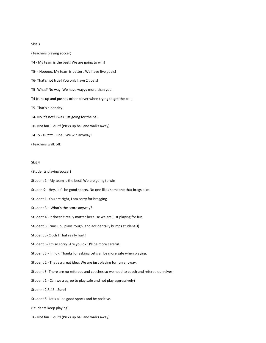#### Skit 3

(Teachers playing soccer) T4 - My team is the best! We are going to win! T5- - Nooooo. My team is better . We have five goals! T6- That's not true! You only have 2 goals! T5- What? No way. We have wayyy more than you. T4 (runs up and pushes other player when trying to get the ball) T5- That's a penalty! T4- No it's not! I was just going for the ball. T6- Not fair! I quit! (Picks up ball and walks away) T4 T5 - HEYYY . Fine ! We win anyway! (Teachers walk off)

#### Skit 4

- (Students playing soccer)
- Student 1 My team is the best! We are going to win
- Student2 Hey, let's be good sports. No one likes someone that brags a lot.
- Student 1- You are right, I am sorry for bragging.
- Student 3. What's the score anyway?
- Student 4 It doesn't really matter because we are just playing for fun.
- Student 5 (runs up , plays rough, and accidentally bumps student 3)
- Student 3- Ouch ! That really hurt!
- Student 5- I'm so sorry! Are you ok? I'll be more careful.
- Student 3 I'm ok. Thanks for asking. Let's all be more safe when playing.
- Student 2 That's a great idea. We are just playing for fun anyway.
- Student 3- There are no referees and coaches so we need to coach and referee ourselves.
- Student 1 Can we a agree to play safe and not play aggressively?
- Student 2,3,45 Sure!
- Student 5- Let's all be good sports and be positive.
- (Students keep playing)
- T6- Not fair! I quit! (Picks up ball and walks away)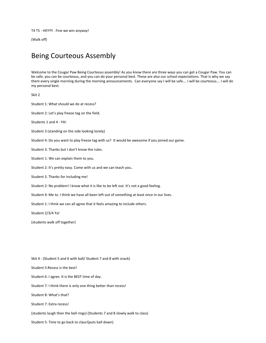T4 T5 - HEYYY . Fine we win anyway!

(Walk off)

## Being Courteous Assembly

Welcome to the Cougar Paw Being Courteous assembly! As you know there are three ways you can get a Cougar Paw. You can be safe, you can be courteous, and you can do your personal best. These are also our school expectations. That is why we say them every single morning during the morning announcements. Can everyone say I will be safe… I will be courteous… I will do my personal best.

Skit 2

Student 1: What should we do at recess?

Student 2: Let's play freeze tag on the field.

Students 1 and 4 - YA!

Student 3 (standing on the side looking lonely)

Student 4: Do you want to play freeze tag with us? It would be awesome if you joined our game.

Student 3: Thanks but I don't know the rules.

Student 1: We can explain them to you.

Student 2: It's pretty easy. Come with us and we can teach you..

Student 3. Thanks for including me!

Student 2: No problem! I know what it is like to be left out. It's not a good feeling.

Student 4: Me to. I think we have all been left out of something at least once in our lives.

Student 1: I think we can all agree that it feels amazing to include others.

Student 2/3/4 Ya!

(students walk off together)

Skit 4 - (Student 5 and 6 with ball/ Student 7 and 8 with snack) Student 5:Recess is the best! Student 6: I agree. It is the BEST time of day. Student 7: I think there is only one thing better than recess! Student 8: What's that? Student 7: Extra recess! (students laugh then the bell rings) (Students 7 and 8 slowly walk to class)

Student 5: Time to go back to class!(puts ball down)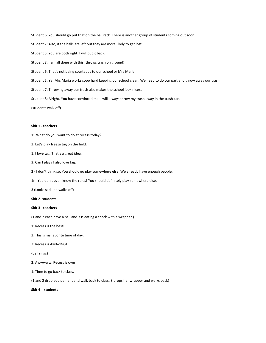Student 6: You should go put that on the ball rack. There is another group of students coming out soon.

Student 7: Also, if the balls are left out they are more likely to get lost.

Student 5: You are both right. I will put it back.

Student 8: I am all done with this (throws trash on ground)

Student 6: That's not being courteous to our school or Mrs Maria.

Student 5: Ya! Mrs Maria works sooo hard keeping our school clean. We need to do our part and throw away our trash.

Student 7: Throwing away our trash also makes the school look nicer..

Student 8: Alright. You have convinced me. I will always throw my trash away in the trash can.

(students walk off)

#### **Skit 1 - teachers**

1: What do you want to do at recess today?

2: Let's play freeze tag on the field.

1: I love tag. That's a great idea.

3: Can I play? I also love tag.

2 - I don't think so. You should go play somewhere else. We already have enough people.

1r - You don't even know the rules! You should definitely play somewhere else.

3 (Looks sad and walks off)

**Skit 2- students**

#### **Skit 3 - teachers**

(1 and 2 each have a ball and 3 is eating a snack with a wrapper.)

1: Recess is the best!

2: This is my favorite time of day.

3: Recess is AMAZING!

(bell rings)

2: Awwwww. Recess is over!

1: Time to go back to class.

(1 and 2 drop equipement and walk back to class. 3 drops her wrapper and walks back)

**Skit 4 - students**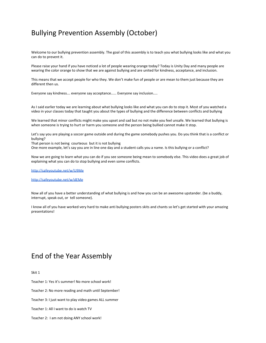## Bullying Prevention Assembly (October)

Welcome to our bullying prevention assembly. The goal of this assembly is to teach you what bullying looks like and what you can do to prevent it.

Please raise your hand if you have noticed a lot of people wearing orange today? Today is Unity Day and many people are wearing the color orange to show that we are against bullying and are united for kindness, acceptance, and inclusion.

This means that we accept people for who they. We don't make fun of people or are mean to them just because they are different then us.

Everyone say kindness… everyone say acceptance….. Everyone say inclusion….

As I said earlier today we are learning about what bullying looks like and what you can do to stop it. Most of you watched a video in your classes today that taught you about the types of bullying and the difference between conflicts and bullying

We learned that minor conflicts might make you upset and sad but no not make you feel unsafe. We learned that bullying is when someone is trying to hurt or harm you someone and the person being bullied cannot make it stop.

Let's say you are playing a soccer game outside and during the game somebody pushes you. Do you think that is a conflict or bullying?

That person is not being courteous but it is not bullying

One more example, let's say you are in line one day and a student calls you a name. Is this bullying or a conflict?

Now we are going to learn what you can do if you see someone being mean to somebody else. This video does a great job of explaining what you can do to stop bullying and even some conflicts.

<http://safeyoutube.net/w/U9Me>

<http://safeyoutube.net/w/dEMe>

Now all of you have a better understanding of what bullying is and how you can be an awesome upstander. (be a buddy, interrupt, speak out, or tell someone).

I know all of you have worked very hard to make anti bullying posters skits and chants so let's get started with your amazing presentations!

## End of the Year Assembly

Skit 1

Teacher 1: Yes it's summer! No more school work!

Teacher 2: No more reading and math until September!

Teacher 3: I just want to play video games ALL summer

Teacher 1: All I want to do is watch TV

Teacher 2: I am not doing ANY school work!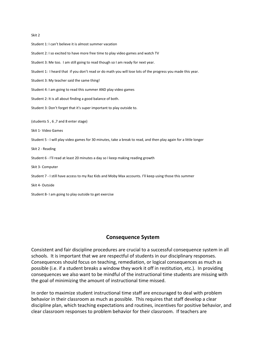#### Skit 2

Student 1: I can't believe it is almost summer vacation Student 2: I so excited to have more free time to play video games and watch TV Student 3: Me too. I am still going to read though so I am ready for next year. Student 1: I heard that if you don't read or do math you will lose lots of the progress you made this year. Student 3: My teacher said the same thing! Student 4: I am going to read this summer AND play video games Student 2: It is all about finding a good balance of both. Student 3: Don't forget that it's super important to play outside to. (students 5 , 6 ,7 and 8 enter stage) Skit 1- Video Games Student 5 - I will play video games for 30 minutes, take a break to read, and then play again for a little longer Skit 2 - Reading Student 6 - I'll read at least 20 minutes a day so I keep making reading growth Skit 3- Computer Student 7 - I still have access to my Raz Kids and Moby Max accounts. I'll keep using those this summer Skit 4- Outside Student 8- I am going to play outside to get exercise

### **Consequence System**

Consistent and fair discipline procedures are crucial to a successful consequence system in all schools. It is important that we are respectful of students in our disciplinary responses. Consequences should focus on teaching, remediation, or logical consequences as much as possible (i.e. if a student breaks a window they work it off in restitution, etc.). In providing consequences we also want to be mindful of the instructional time students are missing with the goal of minimizing the amount of instructional time missed.

In order to maximize student instructional time staff are encouraged to deal with problem behavior in their classroom as much as possible. This requires that staff develop a clear discipline plan, which teaching expectations and routines, incentives for positive behavior, and clear classroom responses to problem behavior for their classroom. If teachers are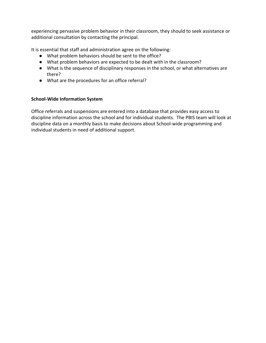experiencing pervasive problem behavior in their classroom, they should to seek assistance or additional consultation by contacting the principal.

It is essential that staff and administration agree on the following:

- What problem behaviors should be sent to the office?
- What problem behaviors are expected to be dealt with in the classroom?
- What is the sequence of disciplinary responses in the school, or what alternatives are there?
- What are the procedures for an office referral?

### **School-Wide Information System**

Office referrals and suspensions are entered into a database that provides easy access to discipline information across the school and for individual students. The PBIS team will look at discipline data on a monthly basis to make decisions about School-wide programming and individual students in need of additional support.